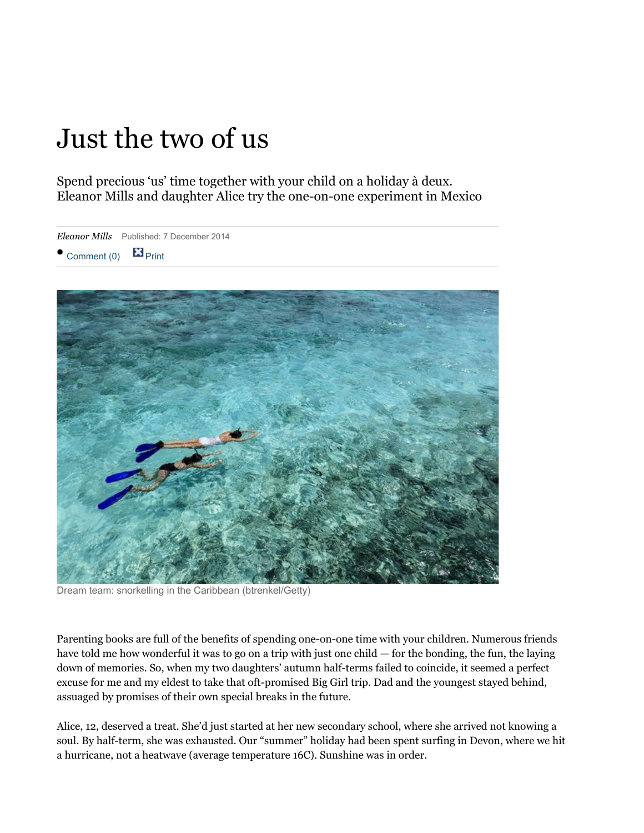# Just the two of us

Spend precious 'us' time together with your child on a holiday à deux. Eleanor Mills and daughter Alice try the one-on-one experiment in Mexico

*Eleanor Mills* Published: 7 December 2014  $\bullet$  [Comment \(0\)](http://www.thesundaytimes.co.uk/sto/travel/Holidays/Family/article1491653.ece#commentsStart)  $\blacksquare$  [Print](http://www.thesundaytimes.co.uk/sto/travel/Holidays/Family/article1491653.ece#)



Dream team: snorkelling in the Caribbean (btrenkel/Getty)

Parenting books are full of the benefits of spending one-on-one time with your children. Numerous friends have told me how wonderful it was to go on a trip with just one child — for the bonding, the fun, the laying down of memories. So, when my two daughters' autumn half-terms failed to coincide, it seemed a perfect excuse for me and my eldest to take that oft-promised Big Girl trip. Dad and the youngest stayed behind, assuaged by promises of their own special breaks in the future.

Alice, 12, deserved a treat. She'd just started at her new secondary school, where she arrived not knowing a soul. By half-term, she was exhausted. Our "summer" holiday had been spent surfing in Devon, where we hit a hurricane, not a heatwave (average temperature 16C). Sunshine was in order.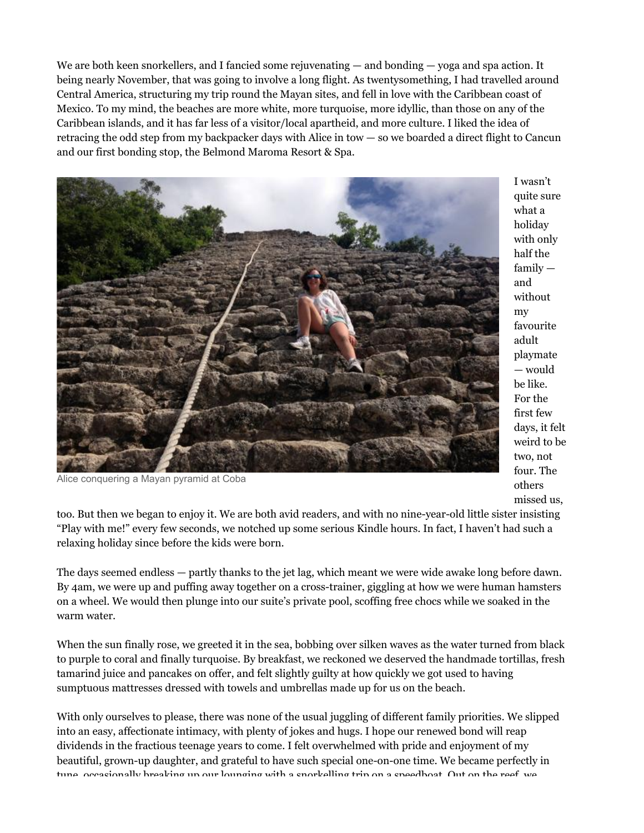We are both keen snorkellers, and I fancied some rejuvenating — and bonding — yoga and spa action. It being nearly November, that was going to involve a long flight. As twentysomething, I had travelled around Central America, structuring my trip round the Mayan sites, and fell in love with the Caribbean coast of Mexico. To my mind, the beaches are more white, more turquoise, more idyllic, than those on any of the Caribbean islands, and it has far less of a visitor/local apartheid, and more culture. I liked the idea of retracing the odd step from my backpacker days with Alice in tow — so we boarded a direct flight to Cancun and our first bonding stop, the Belmond Maroma Resort & Spa.



I wasn't quite sure what a holiday with only half the family and without my favourite adult playmate — would be like. For the first few days, it felt weird to be two, not four. The others missed us,

Alice conquering a Mayan pyramid at Coba

too. But then we began to enjoy it. We are both avid readers, and with no nine-year-old little sister insisting "Play with me!" every few seconds, we notched up some serious Kindle hours. In fact, I haven't had such a relaxing holiday since before the kids were born.

The days seemed endless — partly thanks to the jet lag, which meant we were wide awake long before dawn. By 4am, we were up and puffing away together on a cross-trainer, giggling at how we were human hamsters on a wheel. We would then plunge into our suite's private pool, scoffing free chocs while we soaked in the warm water.

When the sun finally rose, we greeted it in the sea, bobbing over silken waves as the water turned from black to purple to coral and finally turquoise. By breakfast, we reckoned we deserved the handmade tortillas, fresh tamarind juice and pancakes on offer, and felt slightly guilty at how quickly we got used to having sumptuous mattresses dressed with towels and umbrellas made up for us on the beach.

With only ourselves to please, there was none of the usual juggling of different family priorities. We slipped into an easy, affectionate intimacy, with plenty of jokes and hugs. I hope our renewed bond will reap dividends in the fractious teenage years to come. I felt overwhelmed with pride and enjoyment of my beautiful, grown-up daughter, and grateful to have such special one-on-one time. We became perfectly in tune, occasionally breaking up our lounging with a snorkelling trip on a speedboat. Out on the reef, we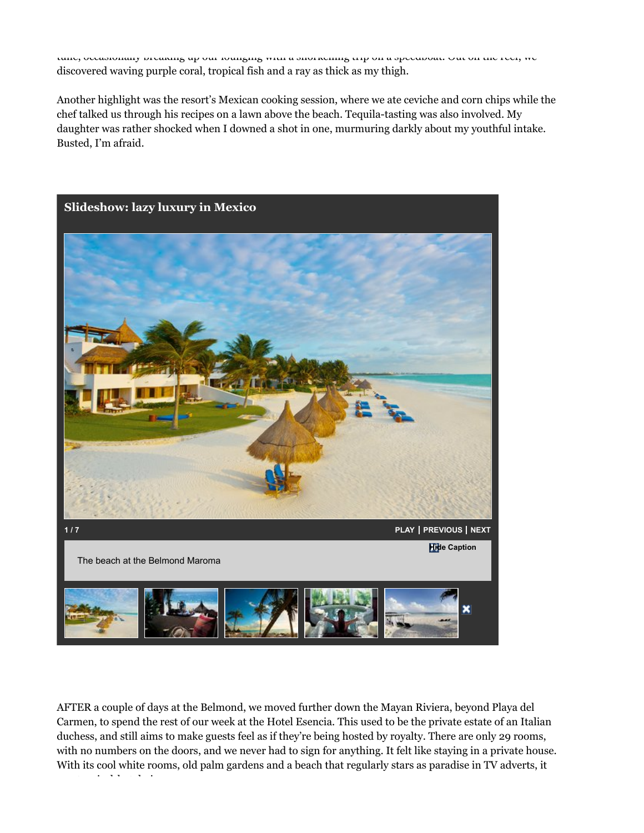tune, occasionally breaking up our lounging with a snorkelling trip on a speedboat. Out on the reef, we discovered waving purple coral, tropical fish and a ray as thick as my thigh.

Another highlight was the resort's Mexican cooking session, where we ate ceviche and corn chips while the chef talked us through his recipes on a lawn above the beach. Tequila-tasting was also involved. My daughter was rather shocked when I downed a shot in one, murmuring darkly about my youthful intake. Busted, I'm afraid.



AFTER a couple of days at the Belmond, we moved further down the Mayan Riviera, beyond Playa del Carmen, to spend the rest of our week at the Hotel Esencia. This used to be the private estate of an Italian duchess, and still aims to make guests feel as if they're being hosted by royalty. There are only 29 rooms, with no numbers on the doors, and we never had to sign for anything. It felt like staying in a private house. With its cool white rooms, old palm gardens and a beach that regularly stars as paradise in TV adverts, it was tropical-hotel nirvana.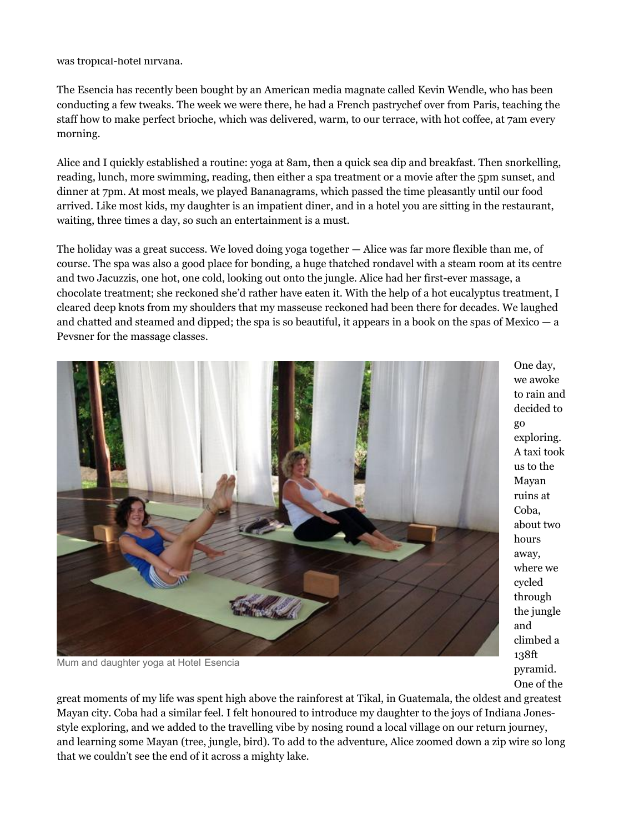was tropical-hotel nirvana.

The Esencia has recently been bought by an American media magnate called Kevin Wendle, who has been conducting a few tweaks. The week we were there, he had a French pastrychef over from Paris, teaching the staff how to make perfect brioche, which was delivered, warm, to our terrace, with hot coffee, at 7am every morning.

Alice and I quickly established a routine: yoga at 8am, then a quick sea dip and breakfast. Then snorkelling, reading, lunch, more swimming, reading, then either a spa treatment or a movie after the 5pm sunset, and dinner at 7pm. At most meals, we played Bananagrams, which passed the time pleasantly until our food arrived. Like most kids, my daughter is an impatient diner, and in a hotel you are sitting in the restaurant, waiting, three times a day, so such an entertainment is a must.

The holiday was a great success. We loved doing yoga together — Alice was far more flexible than me, of course. The spa was also a good place for bonding, a huge thatched rondavel with a steam room at its centre and two Jacuzzis, one hot, one cold, looking out onto the jungle. Alice had her first-ever massage, a chocolate treatment; she reckoned she'd rather have eaten it. With the help of a hot eucalyptus treatment, I cleared deep knots from my shoulders that my masseuse reckoned had been there for decades. We laughed and chatted and steamed and dipped; the spa is so beautiful, it appears in a book on the spas of Mexico — a Pevsner for the massage classes.



Mum and daughter yoga at Hotel Esencia

One day, we awoke to rain and decided to go exploring. A taxi took us to the Mayan ruins at Coba, about two hours away, where we cycled through the jungle and climbed a 138ft pyramid. One of the

great moments of my life was spent high above the rainforest at Tikal, in Guatemala, the oldest and greatest Mayan city. Coba had a similar feel. I felt honoured to introduce my daughter to the joys of Indiana Jonesstyle exploring, and we added to the travelling vibe by nosing round a local village on our return journey, and learning some Mayan (tree, jungle, bird). To add to the adventure, Alice zoomed down a zip wire so long that we couldn't see the end of it across a mighty lake.